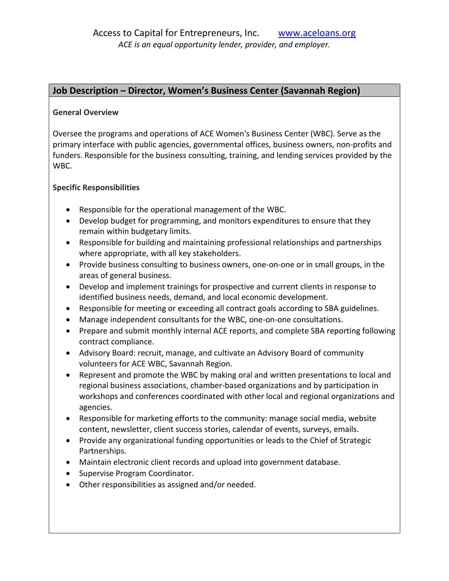## **Job Description – Director, Women's Business Center (Savannah Region)**

## **General Overview**

Oversee the programs and operations of ACE Women's Business Center (WBC). Serve as the primary interface with public agencies, governmental offices, business owners, non-profits and funders. Responsible for the business consulting, training, and lending services provided by the WBC.

## **Specific Responsibilities**

- Responsible for the operational management of the WBC.
- Develop budget for programming, and monitors expenditures to ensure that they remain within budgetary limits.
- Responsible for building and maintaining professional relationships and partnerships where appropriate, with all key stakeholders.
- Provide business consulting to business owners, one-on-one or in small groups, in the areas of general business.
- Develop and implement trainings for prospective and current clients in response to identified business needs, demand, and local economic development.
- Responsible for meeting or exceeding all contract goals according to SBA guidelines.
- Manage independent consultants for the WBC, one-on-one consultations.
- Prepare and submit monthly internal ACE reports, and complete SBA reporting following contract compliance.
- Advisory Board: recruit, manage, and cultivate an Advisory Board of community volunteers for ACE WBC, Savannah Region.
- Represent and promote the WBC by making oral and written presentations to local and regional business associations, chamber-based organizations and by participation in workshops and conferences coordinated with other local and regional organizations and agencies.
- Responsible for marketing efforts to the community: manage social media, website content, newsletter, client success stories, calendar of events, surveys, emails.
- Provide any organizational funding opportunities or leads to the Chief of Strategic Partnerships.
- Maintain electronic client records and upload into government database.
- Supervise Program Coordinator.
- Other responsibilities as assigned and/or needed.